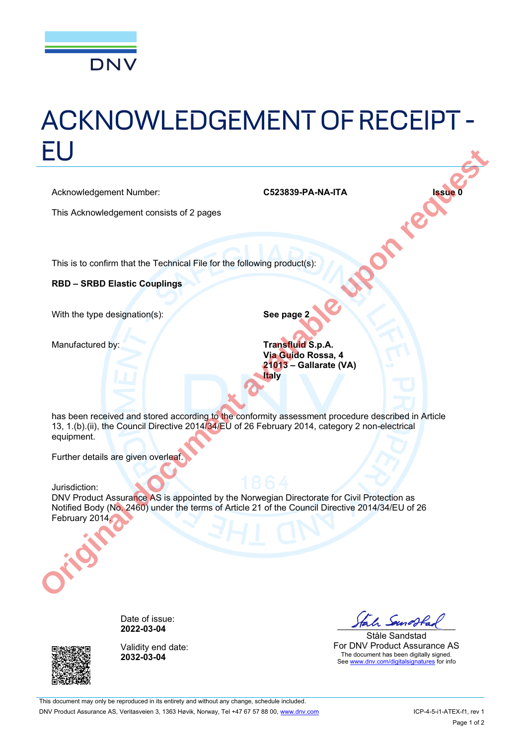

# ACKNOWLEDGEMENT OF RECEIPT - EU

Acknowledgement Number: **C523839-PA-NA-ITA Issue 0** 

This Acknowledgement consists of 2 pages

This is to confirm that the Technical File for the following product(s):

**RBD - SRBD Elastic Couplings** 

With the type designation(s): **See page 2** 

Manufactured by: **Transfluid S.p.A. Via Guido Rossa, 4 21013 Gallarate (VA) Italy**

has been received and stored according to the conformity assessment procedure described in Article 13, 1.(b).(ii), the Council Directive 2014/34/EU of 26 February 2014, category 2 non-electrical equipment.

Further details are given overleaf.

 Jurisdiction: DNV Product Assurance AS is appointed by the Norwegian Directorate for Civil Protection as Notified Body (No. 2460) under the terms of Article 21 of the Council Directive 2014/34/EU of 26 February 2014. **CS23839-PA-NA-TTA**<br>
Acknowledgement Number:<br>
This Acknowledgement consists of 2 pages<br>
This is to confirm that the Technical File for the following product(s):<br> **RBD – SRBD Elastic Couplings**<br>
With the type designation(s)



Date of issue:<br>**2022-03-04** 



Validity end date: **2032-03-04**

2022-03-04 **2022-03-04** 

Ståle Sandstad For DNV Product Assurance AS The document has been digitally signed. See www.dnv.com/digitalsignatures</u> for info